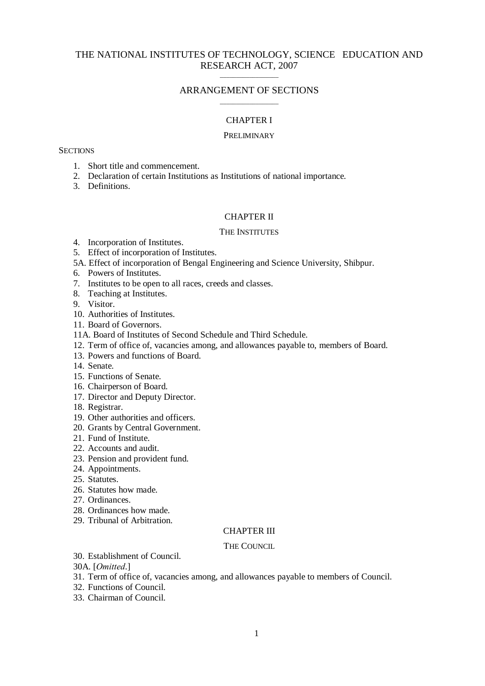### THE NATIONAL INSTITUTES OF TECHNOLOGY, SCIENCE EDUCATION AND RESEARCH ACT, 2007 \_\_\_\_\_\_\_\_\_\_\_\_\_\_\_\_\_\_

### ARRANGEMENT OF SECTIONS \_\_\_\_\_\_\_\_\_\_\_\_\_\_\_\_\_\_

### CHAPTER I

#### **PRELIMINARY**

#### **SECTIONS**

- 1. Short title and commencement.
- 2. Declaration of certain Institutions as Institutions of national importance.
- 3. Definitions.

#### CHAPTER II

#### THE INSTITUTES

- 4. Incorporation of Institutes.
- 5. Effect of incorporation of Institutes.
- 5A. Effect of incorporation of Bengal Engineering and Science University, Shibpur.
- 6. Powers of Institutes.
- 7. Institutes to be open to all races, creeds and classes.
- 8. Teaching at Institutes.
- 9. Visitor.
- 10. Authorities of Institutes.
- 11. Board of Governors.
- 11A. Board of Institutes of Second Schedule and Third Schedule.
- 12. Term of office of, vacancies among, and allowances payable to, members of Board.
- 13. Powers and functions of Board.
- 14. Senate.
- 15. Functions of Senate.
- 16. Chairperson of Board.
- 17. Director and Deputy Director.
- 18. Registrar.
- 19. Other authorities and officers.
- 20. Grants by Central Government.
- 21. Fund of Institute.
- 22. Accounts and audit.
- 23. Pension and provident fund.
- 24. Appointments.
- 25. Statutes.
- 26. Statutes how made.
- 27. Ordinances.
- 28. Ordinances how made.
- 29. Tribunal of Arbitration.

### CHAPTER III

#### THE COUNCIL

- 30. Establishment of Council.
- 30A. [*Omitted*.]
- 31. Term of office of, vacancies among, and allowances payable to members of Council.
- 32. Functions of Council.
- 33. Chairman of Council.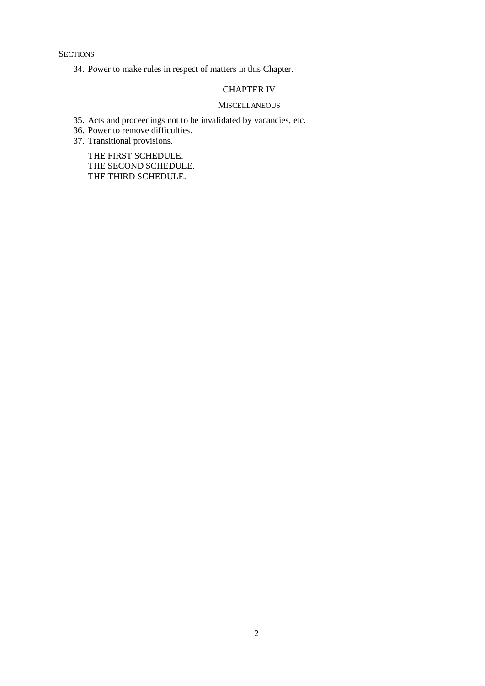**SECTIONS** 

34. Power to make rules in respect of matters in this Chapter.

### CHAPTER IV

#### **MISCELLANEOUS**

- 35. Acts and proceedings not to be invalidated by vacancies, etc.
- 36. Power to remove difficulties.
- 37. Transitional provisions.

THE FIRST SCHEDULE. THE SECOND SCHEDULE. THE THIRD SCHEDULE.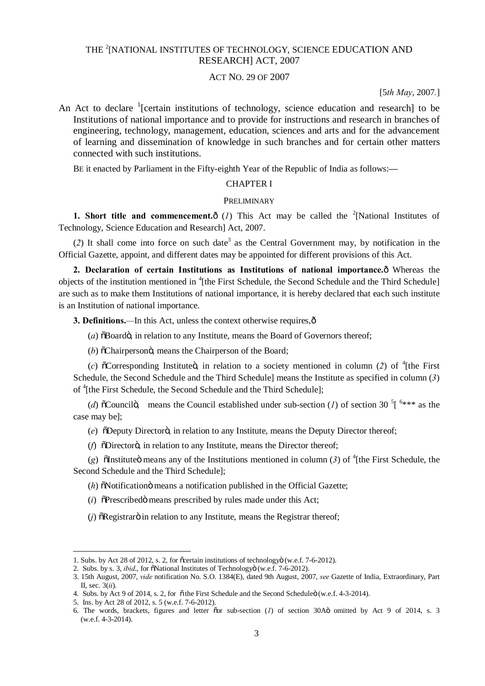# THE <sup>2</sup>[NATIONAL INSTITUTES OF TECHNOLOGY, SCIENCE EDUCATION AND RESEARCH] ACT, 2007

# ACT NO. 29 OF 2007

[5*th May*, 2007*.*]

An Act to declare  $\frac{1}{2}$  [certain institutions of technology, science education and research] to be Institutions of national importance and to provide for instructions and research in branches of engineering, technology, management, education, sciences and arts and for the advancement of learning and dissemination of knowledge in such branches and for certain other matters connected with such institutions.

BE it enacted by Parliament in the Fifty-eighth Year of the Republic of India as follows:**—**

#### CHAPTER I

#### PRELIMINARY

**1. Short title and commencement.** $\hat{o}$  (*I*) This Act may be called the <sup>2</sup>[National Institutes of Technology, Science Education and Research] Act, 2007.

(2) It shall come into force on such date<sup>3</sup> as the Central Government may, by notification in the Official Gazette, appoint, and different dates may be appointed for different provisions of this Act.

**2. Declaration of certain Institutions as Institutions of national importance.**  $\hat{\text{o}}$  Whereas the objects of the institution mentioned in <sup>4</sup>[the First Schedule, the Second Schedule and the Third Schedule] are such as to make them Institutions of national importance, it is hereby declared that each such institute is an Institution of national importance.

**3. Definitions.—In this Act, unless the context otherwise requires,**  $\hat{o}$ 

 $(a)$   $\delta$ Board $\ddot{\text{o}}$ , in relation to any Institute, means the Board of Governors thereof;

(*b*)  $\delta$ Chairperson $\ddot{\text{o}}$ , means the Chairperson of the Board;

(*c*)  $\tilde{O}$  Corresponding Institute $\tilde{O}$ , in relation to a society mentioned in column (2) of <sup>4</sup>[the First Schedule, the Second Schedule and the Third Schedule] means the Institute as specified in column (*3*) of <sup>4</sup>[the First Schedule, the Second Schedule and the Third Schedule];

(*d*)  $\delta$ Councilo, means the Council established under sub-section (*l*) of section 30<sup>5</sup> [<sup>6\*\*\*</sup> as the case may be];

(*e*)  $\delta$ Deputy Director<sub>o</sub>; in relation to any Institute, means the Deputy Director thereof;

(*f*)  $\delta$ Directoro, in relation to any Institute, means the Director thereof;

(g)  $\tilde{\text{o}}$ Institute means any of the Institutions mentioned in column (3) of <sup>4</sup>[the First Schedule, the Second Schedule and the Third Schedule];

 $(h)$   $\tilde{\text{o}}$ Notification $\ddot{\text{o}}$  means a notification published in the Official Gazette;

 $(i)$   $\tilde{O}$  Prescribed $\tilde{O}$  means prescribed by rules made under this Act;

 $(j)$   $\delta$ Registrar $\ddot{o}$  in relation to any Institute, means the Registrar thereof;

-

<sup>1.</sup> Subs. by Act 28 of 2012, s. 2, for ocertain institutions of technology (w.e.f. 7-6-2012).

<sup>2.</sup> Subs. by s. 3, *ibid.*, for  $\tilde{\text{o}}$ National Institutes of Technologyo (w.e.f. 7-6-2012).

<sup>3. 15</sup>th August, 2007, *vide* notification No. S.O. 1384(E), dated 9th August, 2007, *see* Gazette of India, Extraordinary, Part II, sec. 3(*ii*).

<sup>4.</sup> Subs. by Act 9 of 2014, s. 2, for  $\tilde{o}$  the First Schedule and the Second Scheduleö (w.e.f. 4-3-2014).

<sup>5.</sup> Ins. by Act 28 of 2012, s. 5 (w.e.f. 7-6-2012).

<sup>6.</sup> The words, brackets, figures and letter "or sub-section (*1*) of section 30A" omitted by Act 9 of 2014, s. 3 (w.e.f. 4-3-2014).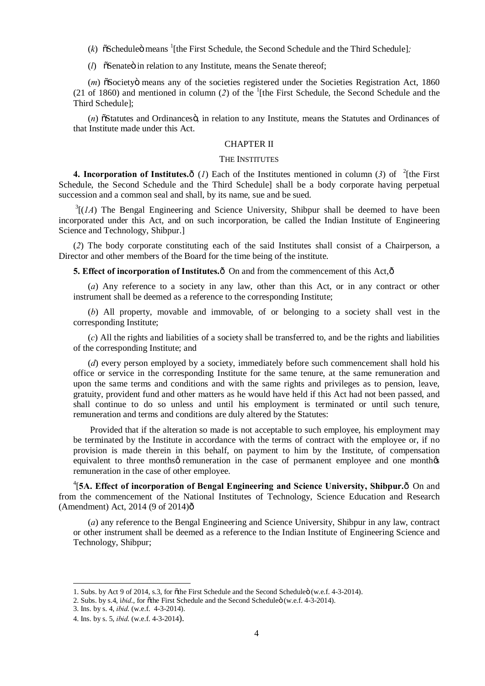(k)  $\delta$ Scheduleö means <sup>1</sup>[the First Schedule, the Second Schedule and the Third Schedule];

 $(l)$   $\tilde{O}$  Senate  $\tilde{O}$  in relation to any Institute, means the Senate thereof;

(*m*)  $\tilde{a}$ Societyö means any of the societies registered under the Societies Registration Act, 1860  $(21$  of 1860) and mentioned in column  $(2)$  of the  $(1)$ <sup>1</sup>[the First Schedule, the Second Schedule and the Third Schedule];

(*n*)  $\delta$ Statutes and Ordinances $\ddot{\text{o}}$ , in relation to any Institute, means the Statutes and Ordinances of that Institute made under this Act.

#### CHAPTER II

#### THE INSTITUTES

**4. Incorporation of Institutes.** $\hat{o}$  (*I*) Each of the Institutes mentioned in column (3) of <sup>2</sup>[the First Schedule, the Second Schedule and the Third Schedule] shall be a body corporate having perpetual succession and a common seal and shall, by its name, sue and be sued.

 $3[(1A)$  The Bengal Engineering and Science University, Shibpur shall be deemed to have been incorporated under this Act, and on such incorporation, be called the Indian Institute of Engineering Science and Technology, Shibpur.]

(*2*) The body corporate constituting each of the said Institutes shall consist of a Chairperson, a Director and other members of the Board for the time being of the institute.

**5. Effect of incorporation of Institutes.** $\hat{o}$  On and from the commencement of this Act, $\hat{o}$ 

(*a*) Any reference to a society in any law, other than this Act, or in any contract or other instrument shall be deemed as a reference to the corresponding Institute;

(*b*) All property, movable and immovable, of or belonging to a society shall vest in the corresponding Institute;

(*c*) All the rights and liabilities of a society shall be transferred to, and be the rights and liabilities of the corresponding Institute; and

(*d*) every person employed by a society, immediately before such commencement shall hold his office or service in the corresponding Institute for the same tenure, at the same remuneration and upon the same terms and conditions and with the same rights and privileges as to pension, leave, gratuity, provident fund and other matters as he would have held if this Act had not been passed, and shall continue to do so unless and until his employment is terminated or until such tenure, remuneration and terms and conditions are duly altered by the Statutes:

Provided that if the alteration so made is not acceptable to such employee, his employment may be terminated by the Institute in accordance with the terms of contract with the employee or, if no provision is made therein in this behalf, on payment to him by the Institute, of compensation equivalent to three months *o* remuneration in the case of permanent employee and one month remuneration in the case of other employee.

<sup>4</sup>[5A. Effect of incorporation of Bengal Engineering and Science University, Shibpur.ô On and from the commencement of the National Institutes of Technology, Science Education and Research (Amendment) Act, 2014 (9 of 2014) $\hat{o}$ 

(*a*) any reference to the Bengal Engineering and Science University, Shibpur in any law, contract or other instrument shall be deemed as a reference to the Indian Institute of Engineering Science and Technology, Shibpur;

<sup>1.</sup> Subs. by Act 9 of 2014, s.3, for othe First Schedule and the Second Scheduleö (w.e.f. 4-3-2014).

<sup>2.</sup> Subs. by s.4, i*bid.*, for othe First Schedule and the Second Scheduleo (w.e.f. 4-3-2014).

<sup>3.</sup> Ins. by s. 4, *ibid*. (w.e.f. 4-3-2014).

<sup>4.</sup> Ins. by s. 5, *ibid*. (w.e.f. 4-3-2014).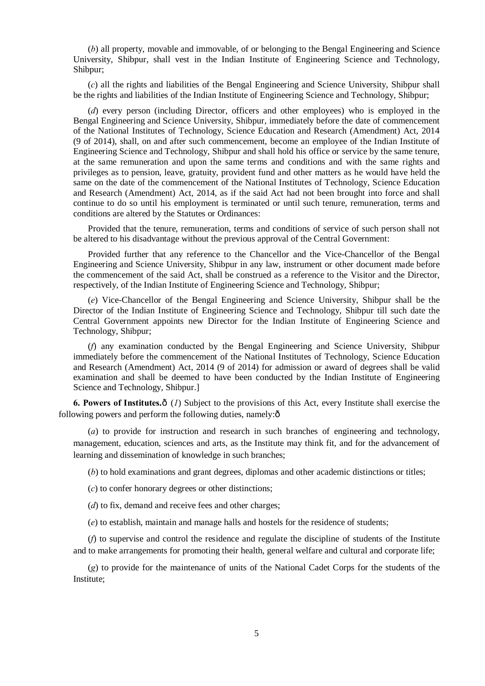(*b*) all property, movable and immovable, of or belonging to the Bengal Engineering and Science University, Shibpur, shall vest in the Indian Institute of Engineering Science and Technology, Shibpur;

(*c*) all the rights and liabilities of the Bengal Engineering and Science University, Shibpur shall be the rights and liabilities of the Indian Institute of Engineering Science and Technology, Shibpur;

(*d*) every person (including Director, officers and other employees) who is employed in the Bengal Engineering and Science University, Shibpur, immediately before the date of commencement of the National Institutes of Technology, Science Education and Research (Amendment) Act, 2014 (9 of 2014), shall, on and after such commencement, become an employee of the Indian Institute of Engineering Science and Technology, Shibpur and shall hold his office or service by the same tenure, at the same remuneration and upon the same terms and conditions and with the same rights and privileges as to pension, leave, gratuity, provident fund and other matters as he would have held the same on the date of the commencement of the National Institutes of Technology, Science Education and Research (Amendment) Act, 2014, as if the said Act had not been brought into force and shall continue to do so until his employment is terminated or until such tenure, remuneration, terms and conditions are altered by the Statutes or Ordinances:

Provided that the tenure, remuneration, terms and conditions of service of such person shall not be altered to his disadvantage without the previous approval of the Central Government:

Provided further that any reference to the Chancellor and the Vice-Chancellor of the Bengal Engineering and Science University, Shibpur in any law, instrument or other document made before the commencement of the said Act, shall be construed as a reference to the Visitor and the Director, respectively, of the Indian Institute of Engineering Science and Technology, Shibpur;

(*e*) Vice-Chancellor of the Bengal Engineering and Science University, Shibpur shall be the Director of the Indian Institute of Engineering Science and Technology, Shibpur till such date the Central Government appoints new Director for the Indian Institute of Engineering Science and Technology, Shibpur;

(*f*) any examination conducted by the Bengal Engineering and Science University, Shibpur immediately before the commencement of the National Institutes of Technology, Science Education and Research (Amendment) Act, 2014 (9 of 2014) for admission or award of degrees shall be valid examination and shall be deemed to have been conducted by the Indian Institute of Engineering Science and Technology, Shibpur.]

**6. Powers of Institutes.**  $\hat{o}$  (*1*) Subject to the provisions of this Act, every Institute shall exercise the following powers and perform the following duties, namely: $\delta$ 

(*a*) to provide for instruction and research in such branches of engineering and technology, management, education, sciences and arts, as the Institute may think fit, and for the advancement of learning and dissemination of knowledge in such branches;

(*b*) to hold examinations and grant degrees, diplomas and other academic distinctions or titles;

(*c*) to confer honorary degrees or other distinctions;

(*d*) to fix, demand and receive fees and other charges;

(*e*) to establish, maintain and manage halls and hostels for the residence of students;

(*f*) to supervise and control the residence and regulate the discipline of students of the Institute and to make arrangements for promoting their health, general welfare and cultural and corporate life;

(*g*) to provide for the maintenance of units of the National Cadet Corps for the students of the Institute;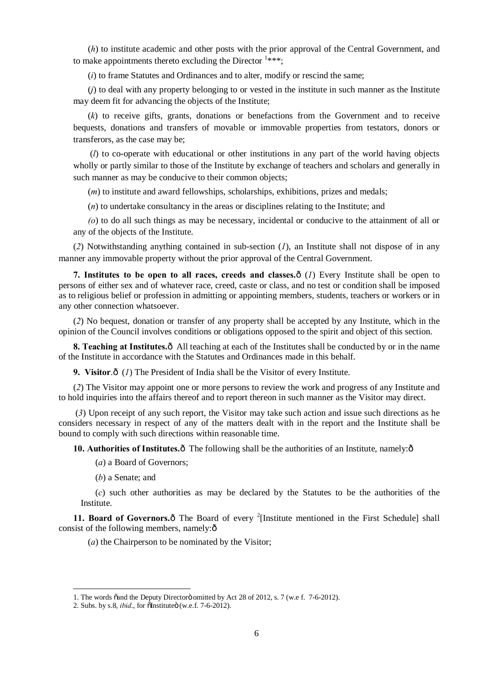(*h*) to institute academic and other posts with the prior approval of the Central Government, and to make appointments thereto excluding the Director  $1***$ ;

(*i*) to frame Statutes and Ordinances and to alter, modify or rescind the same;

(*j*) to deal with any property belonging to or vested in the institute in such manner as the Institute may deem fit for advancing the objects of the Institute;

(*k*) to receive gifts, grants, donations or benefactions from the Government and to receive bequests, donations and transfers of movable or immovable properties from testators, donors or transferors, as the case may be;

(*l*) to co-operate with educational or other institutions in any part of the world having objects wholly or partly similar to those of the Institute by exchange of teachers and scholars and generally in such manner as may be conducive to their common objects;

(*m*) to institute and award fellowships, scholarships, exhibitions, prizes and medals;

(*n*) to undertake consultancy in the areas or disciplines relating to the Institute; and

*(o*) to do all such things as may be necessary, incidental or conducive to the attainment of all or any of the objects of the Institute.

(*2*) Notwithstanding anything contained in sub-section (*1*), an Institute shall not dispose of in any manner any immovable property without the prior approval of the Central Government.

**7. Institutes to be open to all races, creeds and classes.** $\hat{o}$  **(***1***) Every Institute shall be open to** persons of either sex and of whatever race, creed, caste or class, and no test or condition shall be imposed as to religious belief or profession in admitting or appointing members, students, teachers or workers or in any other connection whatsoever.

(*2*) No bequest, donation or transfer of any property shall be accepted by any Institute, which in the opinion of the Council involves conditions or obligations opposed to the spirit and object of this section.

**8. Teaching at Institutes.** $\hat{o}$  All teaching at each of the Institutes shall be conducted by or in the name of the Institute in accordance with the Statutes and Ordinances made in this behalf.

**9. Visitor.** $\hat{o}$  (*1*) The President of India shall be the Visitor of every Institute.

(*2*) The Visitor may appoint one or more persons to review the work and progress of any Institute and to hold inquiries into the affairs thereof and to report thereon in such manner as the Visitor may direct.

(*3*) Upon receipt of any such report, the Visitor may take such action and issue such directions as he considers necessary in respect of any of the matters dealt with in the report and the Institute shall be bound to comply with such directions within reasonable time.

**10. Authorities of Institutes.**  $\hat{o}$  The following shall be the authorities of an Institute, namely: $\hat{o}$ 

(*a*) a Board of Governors;

(*b*) a Senate; and

(*c*) such other authorities as may be declared by the Statutes to be the authorities of the Institute.

11. Board of Governors.<sub>0</sub> The Board of every <sup>2</sup>[Institute mentioned in the First Schedule] shall consist of the following members, namely: $\hat{o}$ 

(*a*) the Chairperson to be nominated by the Visitor;

<sup>1.</sup> The words cand the Deputy Director omitted by Act 28 of 2012, s. 7 (w.e. f. 7-6-2012).

<sup>2.</sup> Subs. by s.8, *ibid.*, for one instituted (w.e.f. 7-6-2012).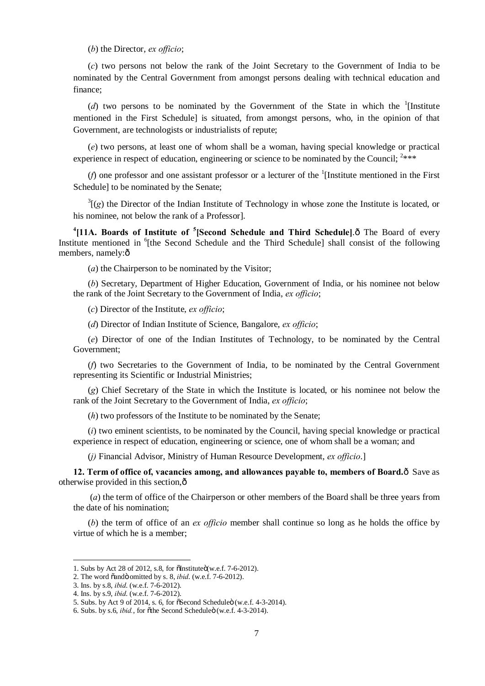(*b*) the Director, *ex officio*;

(*c*) two persons not below the rank of the Joint Secretary to the Government of India to be nominated by the Central Government from amongst persons dealing with technical education and finance;

( $d$ ) two persons to be nominated by the Government of the State in which the <sup>1</sup>[Institute mentioned in the First Schedule] is situated, from amongst persons, who, in the opinion of that Government, are technologists or industrialists of repute;

(*e*) two persons, at least one of whom shall be a woman, having special knowledge or practical experience in respect of education, engineering or science to be nominated by the Council;  $2***$ 

( $f$ ) one professor and one assistant professor or a lecturer of the <sup>1</sup>[Institute mentioned in the First Schedule] to be nominated by the Senate;

 $3\text{I}(g)$  the Director of the Indian Institute of Technology in whose zone the Institute is located, or his nominee, not below the rank of a Professor].

<sup>4</sup> [11A. Boards of Institute of <sup>5</sup> [Second Schedule and Third Schedule]. The Board of every Institute mentioned in <sup>6</sup>[the Second Schedule and the Third Schedule] shall consist of the following members, namely:ô

(*a*) the Chairperson to be nominated by the Visitor;

(*b*) Secretary, Department of Higher Education, Government of India, or his nominee not below the rank of the Joint Secretary to the Government of India, *ex officio*;

(*c*) Director of the Institute, *ex officio*;

(*d*) Director of Indian Institute of Science, Bangalore, *ex officio*;

(*e*) Director of one of the Indian Institutes of Technology, to be nominated by the Central Government;

(*f*) two Secretaries to the Government of India, to be nominated by the Central Government representing its Scientific or Industrial Ministries;

(*g*) Chief Secretary of the State in which the Institute is located, or his nominee not below the rank of the Joint Secretary to the Government of India, *ex officio*;

(*h*) two professors of the Institute to be nominated by the Senate;

(*i*) two eminent scientists, to be nominated by the Council, having special knowledge or practical experience in respect of education, engineering or science, one of whom shall be a woman; and

(*j)* Financial Advisor, Ministry of Human Resource Development, *ex officio*.]

**12. Term of office of, vacancies among, and allowances payable to, members of Board.** $\hat{o}$  Save as otherwise provided in this section,—

(*a*) the term of office of the Chairperson or other members of the Board shall be three years from the date of his nomination;

(*b*) the term of office of an *ex officio* member shall continue so long as he holds the office by virtue of which he is a member;

<sup>1.</sup> Subs by Act 28 of 2012, s.8, for  $\delta$ Institute $\ddot{\text{o}}$ (w.e.f. 7-6-2012).

<sup>2.</sup> The word õandö omitted by s. 8, *ibid*. (w.e.f. 7-6-2012).

<sup>3.</sup> Ins. by s.8, *ibid*. (w.e.f. 7-6-2012).

<sup>4.</sup> Ins. by s.9, *ibid*. (w.e.f. 7-6-2012).

<sup>5.</sup> Subs. by Act 9 of 2014, s. 6, for  $\tilde{c}$ Second Scheduleö (w.e.f. 4-3-2014).

<sup>6.</sup> Subs. by s.6, *ibid.*, for othe Second Scheduleo (w.e.f. 4-3-2014).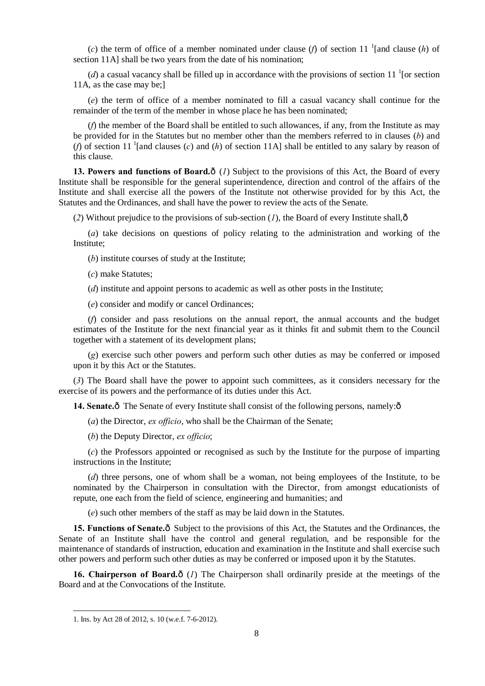(*c*) the term of office of a member nominated under clause (*f*) of section 11 <sup>1</sup>[and clause (*h*) of section 11A] shall be two years from the date of his nomination;

(*d*) a casual vacancy shall be filled up in accordance with the provisions of section 11  $^1$  [or section 11A, as the case may be;]

(*e*) the term of office of a member nominated to fill a casual vacancy shall continue for the remainder of the term of the member in whose place he has been nominated;

(*f*) the member of the Board shall be entitled to such allowances, if any, from the Institute as may be provided for in the Statutes but no member other than the members referred to in clauses (*b*) and (*f*) of section 11<sup>-1</sup> [and clauses (*c*) and (*h*) of section 11A] shall be entitled to any salary by reason of this clause.

**13. Powers and functions of Board.** $\hat{o}$  (*1*) Subject to the provisions of this Act, the Board of every Institute shall be responsible for the general superintendence, direction and control of the affairs of the Institute and shall exercise all the powers of the Institute not otherwise provided for by this Act, the Statutes and the Ordinances, and shall have the power to review the acts of the Senate.

(2) Without prejudice to the provisions of sub-section  $(I)$ , the Board of every Institute shall, $\hat{o}$ 

(*a*) take decisions on questions of policy relating to the administration and working of the Institute;

(*b*) institute courses of study at the Institute;

(*c*) make Statutes;

(*d*) institute and appoint persons to academic as well as other posts in the Institute;

(*e*) consider and modify or cancel Ordinances;

(*f*) consider and pass resolutions on the annual report, the annual accounts and the budget estimates of the Institute for the next financial year as it thinks fit and submit them to the Council together with a statement of its development plans;

(*g*) exercise such other powers and perform such other duties as may be conferred or imposed upon it by this Act or the Statutes.

(*3*) The Board shall have the power to appoint such committees, as it considers necessary for the exercise of its powers and the performance of its duties under this Act.

**14. Senate.** $\hat{o}$  The Senate of every Institute shall consist of the following persons, namely: $\hat{o}$ 

(*a*) the Director, *ex officio*, who shall be the Chairman of the Senate;

(*b*) the Deputy Director, *ex officio*;

(*c*) the Professors appointed or recognised as such by the Institute for the purpose of imparting instructions in the Institute;

(*d*) three persons, one of whom shall be a woman, not being employees of the Institute, to be nominated by the Chairperson in consultation with the Director, from amongst educationists of repute, one each from the field of science, engineering and humanities; and

(*e*) such other members of the staff as may be laid down in the Statutes.

**15. Functions of Senate.** $\hat{o}$  Subject to the provisions of this Act, the Statutes and the Ordinances, the Senate of an Institute shall have the control and general regulation, and be responsible for the maintenance of standards of instruction, education and examination in the Institute and shall exercise such other powers and perform such other duties as may be conferred or imposed upon it by the Statutes.

16. Chairperson of Board. $\hat{o}$  (*1*) The Chairperson shall ordinarily preside at the meetings of the Board and at the Convocations of the Institute.

<sup>1.</sup> Ins. by Act 28 of 2012, s. 10 (w.e.f. 7-6-2012).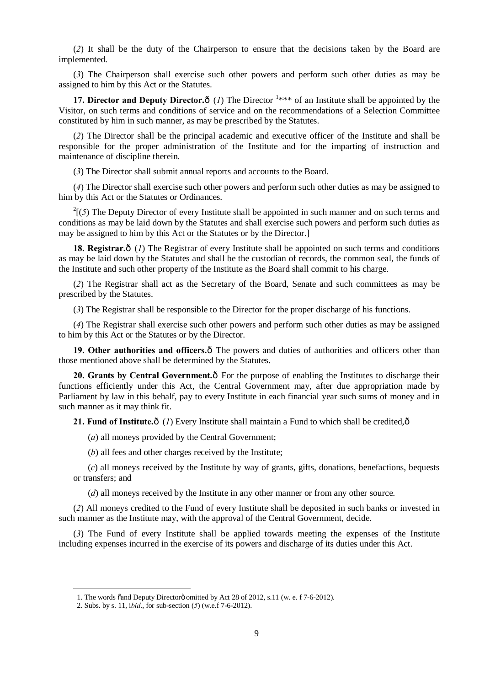(*2*) It shall be the duty of the Chairperson to ensure that the decisions taken by the Board are implemented.

(*3*) The Chairperson shall exercise such other powers and perform such other duties as may be assigned to him by this Act or the Statutes.

**17. Director and Deputy Director.** $\hat{o}$  (*l*) The Director  $1***$  of an Institute shall be appointed by the Visitor, on such terms and conditions of service and on the recommendations of a Selection Committee constituted by him in such manner, as may be prescribed by the Statutes.

(*2*) The Director shall be the principal academic and executive officer of the Institute and shall be responsible for the proper administration of the Institute and for the imparting of instruction and maintenance of discipline therein.

(*3*) The Director shall submit annual reports and accounts to the Board.

(*4*) The Director shall exercise such other powers and perform such other duties as may be assigned to him by this Act or the Statutes or Ordinances.

 $2(5)$  The Deputy Director of every Institute shall be appointed in such manner and on such terms and conditions as may be laid down by the Statutes and shall exercise such powers and perform such duties as may be assigned to him by this Act or the Statutes or by the Director.]

**18. Registrar.** $\hat{o}$  (*1*) The Registrar of every Institute shall be appointed on such terms and conditions as may be laid down by the Statutes and shall be the custodian of records, the common seal, the funds of the Institute and such other property of the Institute as the Board shall commit to his charge.

(*2*) The Registrar shall act as the Secretary of the Board, Senate and such committees as may be prescribed by the Statutes.

(*3*) The Registrar shall be responsible to the Director for the proper discharge of his functions.

(*4*) The Registrar shall exercise such other powers and perform such other duties as may be assigned to him by this Act or the Statutes or by the Director.

19. Other authorities and officers.<sup> $\hat{o}$ </sup> The powers and duties of authorities and officers other than those mentioned above shall be determined by the Statutes.

20. Grants by Central Government. $\delta$  For the purpose of enabling the Institutes to discharge their functions efficiently under this Act, the Central Government may, after due appropriation made by Parliament by law in this behalf, pay to every Institute in each financial year such sums of money and in such manner as it may think fit.

**21. Fund of Institute.** $\hat{o}$  (*I*) Every Institute shall maintain a Fund to which shall be credited, $\hat{o}$ 

(*a*) all moneys provided by the Central Government;

(*b*) all fees and other charges received by the Institute;

(*c*) all moneys received by the Institute by way of grants, gifts, donations, benefactions, bequests or transfers; and

(*d*) all moneys received by the Institute in any other manner or from any other source.

(*2*) All moneys credited to the Fund of every Institute shall be deposited in such banks or invested in such manner as the Institute may, with the approval of the Central Government, decide.

(*3*) The Fund of every Institute shall be applied towards meeting the expenses of the Institute including expenses incurred in the exercise of its powers and discharge of its duties under this Act.

<sup>1.</sup> The words  $\tilde{o}$  and Deputy Director $\ddot{o}$  omitted by Act 28 of 2012, s.11 (w. e. f 7-6-2012).

<sup>2.</sup> Subs. by s. 11, i*bid*., for sub-section (*5*) (w.e.f 7-6-2012).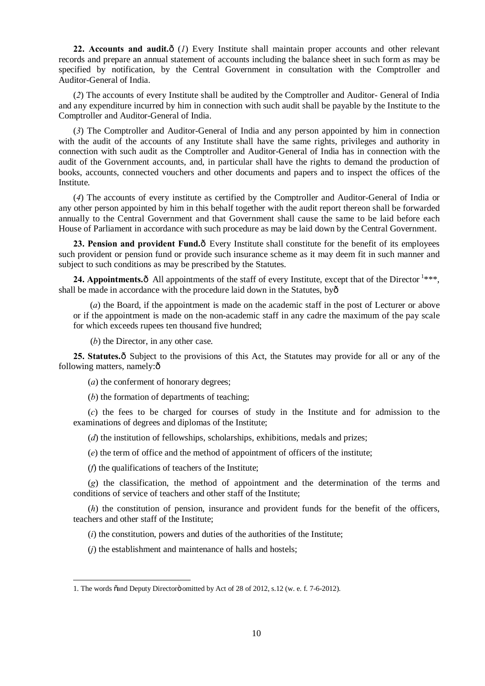22. Accounts and audit. $\hat{o}$  (*1*) Every Institute shall maintain proper accounts and other relevant records and prepare an annual statement of accounts including the balance sheet in such form as may be specified by notification, by the Central Government in consultation with the Comptroller and Auditor-General of India.

(*2*) The accounts of every Institute shall be audited by the Comptroller and Auditor- General of India and any expenditure incurred by him in connection with such audit shall be payable by the Institute to the Comptroller and Auditor-General of India.

(*3*) The Comptroller and Auditor-General of India and any person appointed by him in connection with the audit of the accounts of any Institute shall have the same rights, privileges and authority in connection with such audit as the Comptroller and Auditor-General of India has in connection with the audit of the Government accounts, and, in particular shall have the rights to demand the production of books, accounts, connected vouchers and other documents and papers and to inspect the offices of the Institute.

(*4*) The accounts of every institute as certified by the Comptroller and Auditor-General of India or any other person appointed by him in this behalf together with the audit report thereon shall be forwarded annually to the Central Government and that Government shall cause the same to be laid before each House of Parliament in accordance with such procedure as may be laid down by the Central Government.

**23. Pension and provident Fund.** $\hat{o}$  Every Institute shall constitute for the benefit of its employees such provident or pension fund or provide such insurance scheme as it may deem fit in such manner and subject to such conditions as may be prescribed by the Statutes.

**24. Appointments.** $\hat{o}$  All appointments of the staff of every Institute, except that of the Director  $1***$ , shall be made in accordance with the procedure laid down in the Statutes, by—

(*a*) the Board, if the appointment is made on the academic staff in the post of Lecturer or above or if the appointment is made on the non-academic staff in any cadre the maximum of the pay scale for which exceeds rupees ten thousand five hundred;

(*b*) the Director, in any other case.

**25. Statutes.** $\hat{o}$  Subject to the provisions of this Act, the Statutes may provide for all or any of the following matters, namely: $\hat{o}$ 

(*a*) the conferment of honorary degrees;

(*b*) the formation of departments of teaching;

(*c*) the fees to be charged for courses of study in the Institute and for admission to the examinations of degrees and diplomas of the Institute;

(*d*) the institution of fellowships, scholarships, exhibitions, medals and prizes;

(*e*) the term of office and the method of appointment of officers of the institute;

(*f*) the qualifications of teachers of the Institute;

1

(*g*) the classification, the method of appointment and the determination of the terms and conditions of service of teachers and other staff of the Institute;

(*h*) the constitution of pension, insurance and provident funds for the benefit of the officers, teachers and other staff of the Institute;

(*i*) the constitution, powers and duties of the authorities of the Institute;

(*j*) the establishment and maintenance of halls and hostels;

<sup>1.</sup> The words cand Deputy Directoro omitted by Act of 28 of 2012, s.12 (w. e. f. 7-6-2012).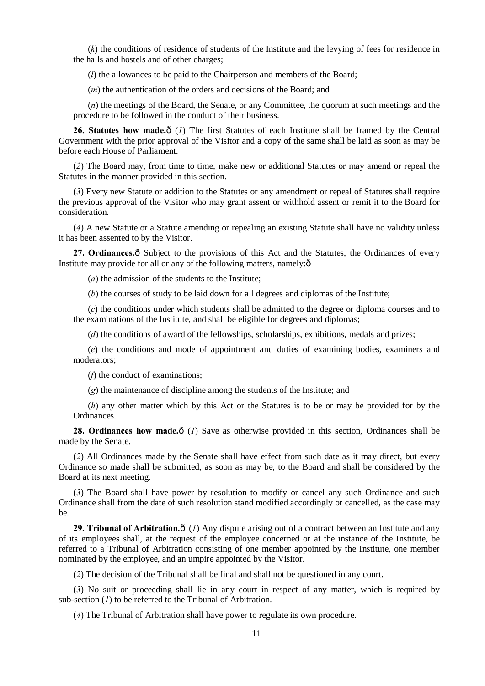(*k*) the conditions of residence of students of the Institute and the levying of fees for residence in the halls and hostels and of other charges;

(*l*) the allowances to be paid to the Chairperson and members of the Board;

(*m*) the authentication of the orders and decisions of the Board; and

(*n*) the meetings of the Board, the Senate, or any Committee, the quorum at such meetings and the procedure to be followed in the conduct of their business.

26. Statutes how made. $\hat{o}$  (*1*) The first Statutes of each Institute shall be framed by the Central Government with the prior approval of the Visitor and a copy of the same shall be laid as soon as may be before each House of Parliament.

(*2*) The Board may, from time to time, make new or additional Statutes or may amend or repeal the Statutes in the manner provided in this section.

(*3*) Every new Statute or addition to the Statutes or any amendment or repeal of Statutes shall require the previous approval of the Visitor who may grant assent or withhold assent or remit it to the Board for consideration.

(*4*) A new Statute or a Statute amending or repealing an existing Statute shall have no validity unless it has been assented to by the Visitor.

27. Ordinances. $\hat{o}$  Subject to the provisions of this Act and the Statutes, the Ordinances of every Institute may provide for all or any of the following matters, namely: $\hat{o}$ 

(*a*) the admission of the students to the Institute;

(*b*) the courses of study to be laid down for all degrees and diplomas of the Institute;

(*c*) the conditions under which students shall be admitted to the degree or diploma courses and to the examinations of the Institute, and shall be eligible for degrees and diplomas;

(*d*) the conditions of award of the fellowships, scholarships, exhibitions, medals and prizes;

(*e*) the conditions and mode of appointment and duties of examining bodies, examiners and moderators;

(*f*) the conduct of examinations;

(*g*) the maintenance of discipline among the students of the Institute; and

(*h*) any other matter which by this Act or the Statutes is to be or may be provided for by the Ordinances.

**28. Ordinances how made.**  $\delta$  (*1*) Save as otherwise provided in this section, Ordinances shall be made by the Senate.

(*2*) All Ordinances made by the Senate shall have effect from such date as it may direct, but every Ordinance so made shall be submitted, as soon as may be, to the Board and shall be considered by the Board at its next meeting.

(*3*) The Board shall have power by resolution to modify or cancel any such Ordinance and such Ordinance shall from the date of such resolution stand modified accordingly or cancelled, as the case may be.

**29. Tribunal of Arbitration.** $\hat{o}$  (*I*) Any dispute arising out of a contract between an Institute and any of its employees shall, at the request of the employee concerned or at the instance of the Institute, be referred to a Tribunal of Arbitration consisting of one member appointed by the Institute, one member nominated by the employee, and an umpire appointed by the Visitor.

(*2*) The decision of the Tribunal shall be final and shall not be questioned in any court.

(*3*) No suit or proceeding shall lie in any court in respect of any matter, which is required by sub-section (*1*) to be referred to the Tribunal of Arbitration.

(*4*) The Tribunal of Arbitration shall have power to regulate its own procedure.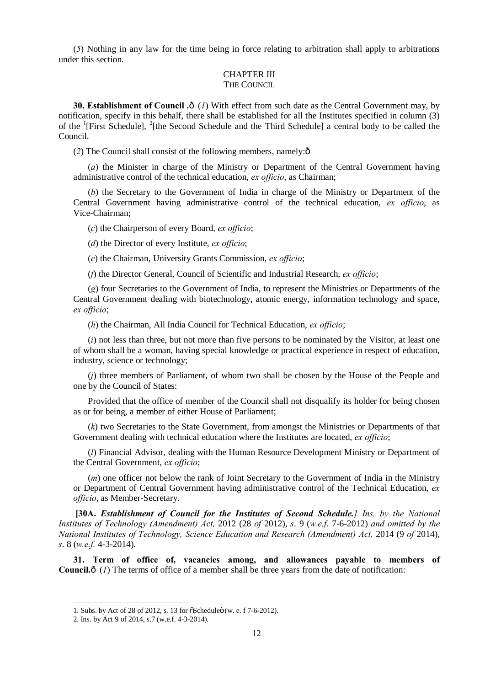(*5*) Nothing in any law for the time being in force relating to arbitration shall apply to arbitrations under this section.

# CHAPTER III

### THE COUNCIL

**30. Establishment of Council .** $\hat{o}$  (*I*) With effect from such date as the Central Government may, by notification, specify in this behalf, there shall be established for all the Institutes specified in column (3) of the <sup>1</sup>[First Schedule], <sup>2</sup>[the Second Schedule and the Third Schedule] a central body to be called the Council.

 $(2)$  The Council shall consist of the following members, namely: $\delta$ 

(*a*) the Minister in charge of the Ministry or Department of the Central Government having administrative control of the technical education, *ex officio*, as Chairman;

(*b*) the Secretary to the Government of India in charge of the Ministry or Department of the Central Government having administrative control of the technical education, *ex officio*, as Vice-Chairman;

(*c*) the Chairperson of every Board, *ex officio*;

(*d*) the Director of every Institute, *ex officio*;

(*e*) the Chairman, University Grants Commission, *ex officio*;

(*f*) the Director General, Council of Scientific and Industrial Research, *ex officio*;

(*g*) four Secretaries to the Government of India, to represent the Ministries or Departments of the Central Government dealing with biotechnology, atomic energy, information technology and space, *ex officio*;

(*h*) the Chairman, All India Council for Technical Education, *ex officio*;

(*i*) not less than three, but not more than five persons to be nominated by the Visitor, at least one of whom shall be a woman, having special knowledge or practical experience in respect of education, industry, science or technology;

(*j*) three members of Parliament, of whom two shall be chosen by the House of the People and one by the Council of States:

Provided that the office of member of the Council shall not disqualify its holder for being chosen as or for being, a member of either House of Parliament;

(*k*) two Secretaries to the State Government, from amongst the Ministries or Departments of that Government dealing with technical education where the Institutes are located, *ex officio*;

(*l*) Financial Advisor, dealing with the Human Resource Development Ministry or Department of the Central Government, *ex officio*;

(*m*) one officer not below the rank of Joint Secretary to the Government of India in the Ministry or Department of Central Government having administrative control of the Technical Education, *ex officio*, as Member-Secretary.

**[30A.** *Establishment of Council for the Institutes of Second Schedule.] Ins. by the National Institutes of Technology (Amendment) Act,* 2012 (28 *of* 2012), *s*. 9 (*w.e.f*. 7-6-2012) *and omitted by the National Institutes of Technology, Science Education and Research (Amendment) Act,* 2014 (9 *of* 2014), *s*. 8 (*w.e.f.* 4-3-2014).

**31. Term of office of, vacancies among, and allowances payable to members of Council.** $\hat{o}$  (*1*) The terms of office of a member shall be three years from the date of notification:

<sup>1.</sup> Subs. by Act of 28 of 2012, s. 13 for  $\delta$ Scheduleö (w. e. f 7-6-2012).

<sup>2.</sup> Ins. by Act 9 of 2014, s.7 (w.e.f. 4-3-2014).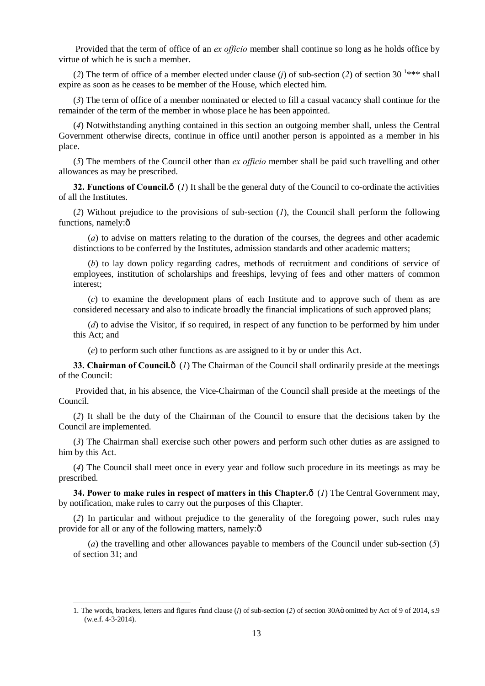Provided that the term of office of an *ex officio* member shall continue so long as he holds office by virtue of which he is such a member.

(2) The term of office of a member elected under clause (*j*) of sub-section (2) of section 30<sup>-1\*\*\*</sup> shall expire as soon as he ceases to be member of the House, which elected him.

(*3*) The term of office of a member nominated or elected to fill a casual vacancy shall continue for the remainder of the term of the member in whose place he has been appointed.

(*4*) Notwithstanding anything contained in this section an outgoing member shall, unless the Central Government otherwise directs, continue in office until another person is appointed as a member in his place.

(*5*) The members of the Council other than *ex officio* member shall be paid such travelling and other allowances as may be prescribed.

**32. Functions of Council.** $\hat{o}$  (*1*) It shall be the general duty of the Council to co-ordinate the activities of all the Institutes.

(*2*) Without prejudice to the provisions of sub-section (*1*), the Council shall perform the following functions, namely: $\hat{o}$ 

(*a*) to advise on matters relating to the duration of the courses, the degrees and other academic distinctions to be conferred by the Institutes, admission standards and other academic matters;

(*b*) to lay down policy regarding cadres, methods of recruitment and conditions of service of employees, institution of scholarships and freeships, levying of fees and other matters of common interest;

(*c*) to examine the development plans of each Institute and to approve such of them as are considered necessary and also to indicate broadly the financial implications of such approved plans;

(*d*) to advise the Visitor, if so required, in respect of any function to be performed by him under this Act; and

(*e*) to perform such other functions as are assigned to it by or under this Act.

**33. Chairman of Council.** $\delta$  (*1*) The Chairman of the Council shall ordinarily preside at the meetings of the Council:

Provided that, in his absence, the Vice-Chairman of the Council shall preside at the meetings of the Council.

(*2*) It shall be the duty of the Chairman of the Council to ensure that the decisions taken by the Council are implemented.

(*3*) The Chairman shall exercise such other powers and perform such other duties as are assigned to him by this Act.

(*4*) The Council shall meet once in every year and follow such procedure in its meetings as may be prescribed.

**34. Power to make rules in respect of matters in this Chapter.** $\hat{o}$  **(***1***) The Central Government may,** by notification, make rules to carry out the purposes of this Chapter.

(*2*) In particular and without prejudice to the generality of the foregoing power, such rules may provide for all or any of the following matters, namely: $\hat{o}$ 

(*a*) the travelling and other allowances payable to members of the Council under sub-section (*5*) of section 31; and

<sup>1.</sup> The words, brackets, letters and figures  $\ddot{\text{c}}$  and clause (*j*) of sub-section (*2*) of section 30Aö omitted by Act of 9 of 2014, s.9 (w.e.f. 4-3-2014).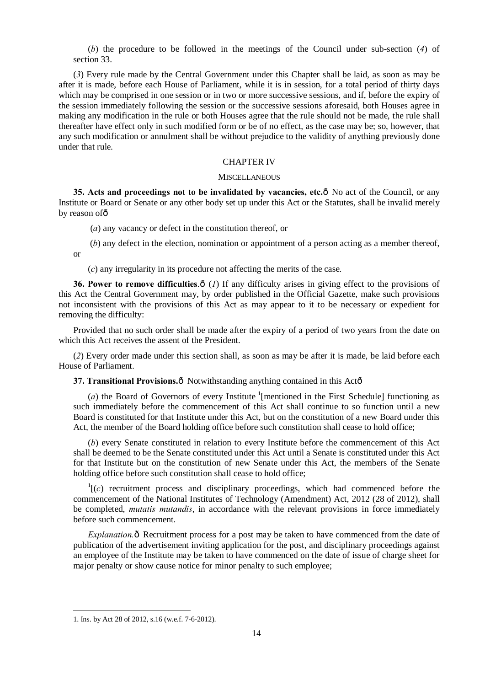(*b*) the procedure to be followed in the meetings of the Council under sub-section (*4*) of section 33.

(*3*) Every rule made by the Central Government under this Chapter shall be laid, as soon as may be after it is made, before each House of Parliament, while it is in session, for a total period of thirty days which may be comprised in one session or in two or more successive sessions, and if, before the expiry of the session immediately following the session or the successive sessions aforesaid, both Houses agree in making any modification in the rule or both Houses agree that the rule should not be made, the rule shall thereafter have effect only in such modified form or be of no effect, as the case may be; so, however, that any such modification or annulment shall be without prejudice to the validity of anything previously done under that rule.

#### CHAPTER IV

#### **MISCELLANEOUS**

**35. Acts and proceedings not to be invalidated by vacancies, etc.** $\hat{\theta}$  No act of the Council, or any Institute or Board or Senate or any other body set up under this Act or the Statutes, shall be invalid merely by reason of ô

(*a*) any vacancy or defect in the constitution thereof, or

(*b*) any defect in the election, nomination or appointment of a person acting as a member thereof, or

(*c*) any irregularity in its procedure not affecting the merits of the case.

**36. Power to remove difficulties.** $\hat{o}$  (*1*) If any difficulty arises in giving effect to the provisions of this Act the Central Government may, by order published in the Official Gazette, make such provisions not inconsistent with the provisions of this Act as may appear to it to be necessary or expedient for removing the difficulty:

Provided that no such order shall be made after the expiry of a period of two years from the date on which this Act receives the assent of the President.

(*2*) Every order made under this section shall, as soon as may be after it is made, be laid before each House of Parliament.

**37. Transitional Provisions.** $\hat{\mathbf{o}}$  Notwithstanding anything contained in this Actô

(*a*) the Board of Governors of every Institute  $\frac{1}{2}$  [mentioned in the First Schedule] functioning as such immediately before the commencement of this Act shall continue to so function until a new Board is constituted for that Institute under this Act, but on the constitution of a new Board under this Act, the member of the Board holding office before such constitution shall cease to hold office;

(*b*) every Senate constituted in relation to every Institute before the commencement of this Act shall be deemed to be the Senate constituted under this Act until a Senate is constituted under this Act for that Institute but on the constitution of new Senate under this Act, the members of the Senate holding office before such constitution shall cease to hold office;

 $\Gamma$ [(*c*) recruitment process and disciplinary proceedings, which had commenced before the commencement of the National Institutes of Technology (Amendment) Act, 2012 (28 of 2012), shall be completed, *mutatis mutandis*, in accordance with the relevant provisions in force immediately before such commencement.

*Explanation.*  $\hat{\sigma}$  Recruitment process for a post may be taken to have commenced from the date of publication of the advertisement inviting application for the post, and disciplinary proceedings against an employee of the Institute may be taken to have commenced on the date of issue of charge sheet for major penalty or show cause notice for minor penalty to such employee;

<sup>1.</sup> Ins. by Act 28 of 2012, s.16 (w.e.f. 7-6-2012).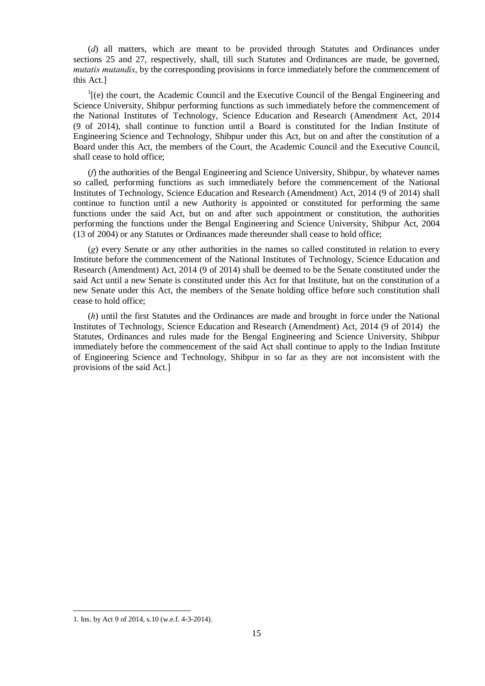(*d*) all matters, which are meant to be provided through Statutes and Ordinances under sections 25 and 27, respectively, shall, till such Statutes and Ordinances are made, be governed, *mutatis mutandis*, by the corresponding provisions in force immediately before the commencement of this Act.]

 $I$ <sub>[(e)</sub> the court, the Academic Council and the Executive Council of the Bengal Engineering and Science University, Shibpur performing functions as such immediately before the commencement of the National Institutes of Technology, Science Education and Research (Amendment Act, 2014 (9 of 2014), shall continue to function until a Board is constituted for the Indian Institute of Engineering Science and Technology, Shibpur under this Act, but on and after the constitution of a Board under this Act, the members of the Court, the Academic Council and the Executive Council, shall cease to hold office;

(*f*) the authorities of the Bengal Engineering and Science University, Shibpur, by whatever names so called, performing functions as such immediately before the commencement of the National Institutes of Technology, Science Education and Research (Amendment) Act, 2014 (9 of 2014) shall continue to function until a new Authority is appointed or constituted for performing the same functions under the said Act, but on and after such appointment or constitution, the authorities performing the functions under the Bengal Engineering and Science University, Shibpur Act, 2004 (13 of 2004) or any Statutes or Ordinances made thereunder shall cease to hold office;

(*g*) every Senate or any other authorities in the names so called constituted in relation to every Institute before the commencement of the National Institutes of Technology, Science Education and Research (Amendment) Act, 2014 (9 of 2014) shall be deemed to be the Senate constituted under the said Act until a new Senate is constituted under this Act for that Institute, but on the constitution of a new Senate under this Act, the members of the Senate holding office before such constitution shall cease to hold office;

(*h*) until the first Statutes and the Ordinances are made and brought in force under the National Institutes of Technology, Science Education and Research (Amendment) Act, 2014 (9 of 2014) the Statutes, Ordinances and rules made for the Bengal Engineering and Science University, Shibpur immediately before the commencement of the said Act shall continue to apply to the Indian Institute of Engineering Science and Technology, Shibpur in so far as they are not inconsistent with the provisions of the said Act.]

<sup>1.</sup> Ins. by Act 9 of 2014, s.10 (w.e.f. 4-3-2014).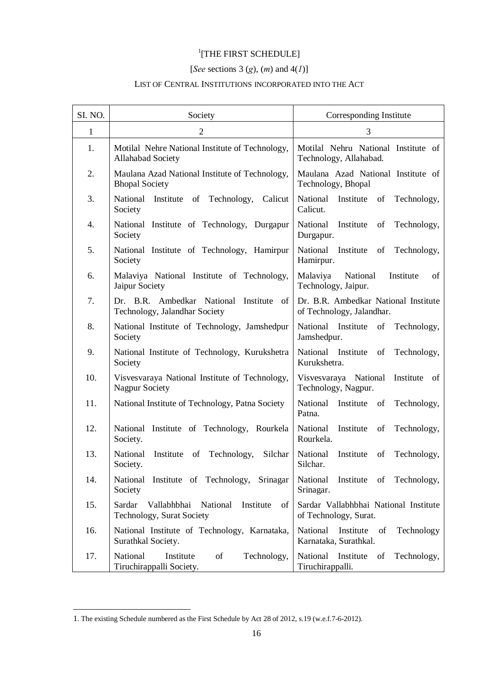# <sup>1</sup>[THE FIRST SCHEDULE]

# [*See* sections 3 (*g*), (*m*) and 4(*1*)]

# LIST OF CENTRAL INSTITUTIONS INCORPORATED INTO THE ACT

| SI. NO.      | Society                                                                                  | Corresponding Institute                                            |
|--------------|------------------------------------------------------------------------------------------|--------------------------------------------------------------------|
| $\mathbf{1}$ | $\overline{2}$                                                                           | 3                                                                  |
| 1.           | Motilal Nehre National Institute of Technology,<br><b>Allahabad Society</b>              | Motilal Nehru National Institute of<br>Technology, Allahabad.      |
| 2.           | Maulana Azad National Institute of Technology,<br><b>Bhopal Society</b>                  | Maulana Azad National Institute of<br>Technology, Bhopal           |
| 3.           | National<br>Institute<br>of<br>Technology,<br>Calicut<br>Society                         | National<br>Institute<br>of<br>Technology,<br>Calicut.             |
| 4.           | National Institute of Technology, Durgapur<br>Society                                    | National Institute<br>Technology,<br>of<br>Durgapur.               |
| 5.           | National Institute of Technology, Hamirpur<br>Society                                    | National<br>Institute<br>of<br>Technology,<br>Hamirpur.            |
| 6.           | Malaviya National Institute of Technology,<br>Jaipur Society                             | Malaviya<br>National<br>Institute<br>of<br>Technology, Jaipur.     |
| 7.           | Dr. B.R. Ambedkar National<br>Institute of<br>Technology, Jalandhar Society              | Dr. B.R. Ambedkar National Institute<br>of Technology, Jalandhar.  |
| 8.           | National Institute of Technology, Jamshedpur<br>Society                                  | National Institute of<br>Technology,<br>Jamshedpur.                |
| 9.           | National Institute of Technology, Kurukshetra<br>Society                                 | National Institute<br>Technology,<br>of<br>Kurukshetra.            |
| 10.          | Visvesvaraya National Institute of Technology,<br><b>Nagpur Society</b>                  | Visvesvaraya National<br>Institute<br>- of<br>Technology, Nagpur.  |
| 11.          | National Institute of Technology, Patna Society                                          | National<br>Institute<br>of<br>Technology,<br>Patna.               |
| 12.          | Institute of Technology,<br>Rourkela<br>National<br>Society.                             | National<br>Institute<br>Technology,<br>of<br>Rourkela.            |
| 13.          | National<br>Institute<br>Technology,<br>Silchar<br>of<br>Society.                        | National<br>Institute<br>Technology,<br>of<br>Silchar.             |
| 14.          | National Institute of Technology, Srinagar<br>Society                                    | National Institute of Technology,<br>Srinagar.                     |
| 15.          | Sardar<br>Vallabhbhai<br>National<br>Institute<br>of<br><b>Technology, Surat Society</b> | Sardar Vallabhbhai National Institute<br>of Technology, Surat.     |
| 16.          | National Institute of Technology, Karnataka,<br>Surathkal Society.                       | National<br>Institute<br>Technology<br>of<br>Karnataka, Surathkal. |
| 17.          | National<br>Institute<br>Technology,<br>of<br>Tiruchirappalli Society.                   | National<br>Institute<br>of<br>Technology,<br>Tiruchirappalli.     |

<sup>1.</sup> The existing Schedule numbered as the First Schedule by Act 28 of 2012, s.19 (w.e.f.7-6-2012).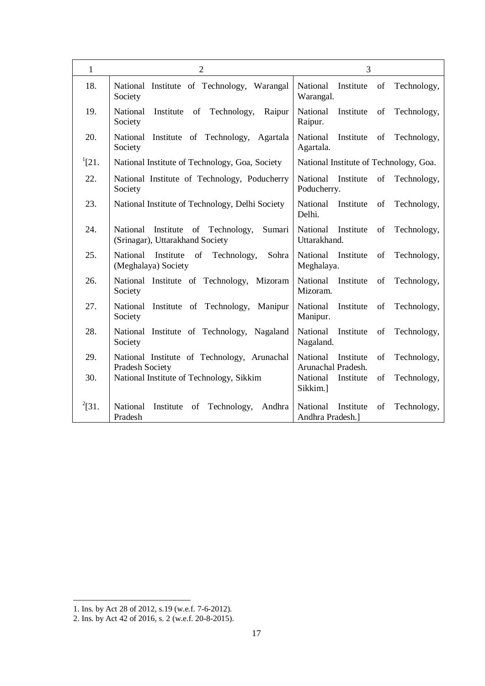| $\mathbf{1}$ | $\overline{2}$                                                                    | 3                                                                |
|--------------|-----------------------------------------------------------------------------------|------------------------------------------------------------------|
| 18.          | National Institute of Technology, Warangal<br>Society                             | National<br>Institute<br>of<br>Technology,<br>Warangal.          |
| 19.          | National<br>Institute of Technology,<br>Raipur<br>Society                         | National<br>Institute<br>Technology,<br>of<br>Raipur.            |
| 20.          | National<br>Institute of Technology,<br>Agartala<br>Society                       | National<br>Institute<br>of<br>Technology,<br>Agartala.          |
| $^{1}[21.$   | National Institute of Technology, Goa, Society                                    | National Institute of Technology, Goa.                           |
| 22.          | National Institute of Technology, Poducherry<br>Society                           | National<br>Institute<br>of<br>Technology,<br>Poducherry.        |
| 23.          | National Institute of Technology, Delhi Society                                   | National<br>Institute<br>of<br>Technology,<br>Delhi.             |
| 24.          | Institute of Technology,<br>Sumari<br>National<br>(Srinagar), Uttarakhand Society | National<br>Institute<br>of<br>Technology,<br>Uttarakhand.       |
| 25.          | Institute<br>of<br>National<br>Technology,<br>Sohra<br>(Meghalaya) Society        | National<br>Institute<br>of<br>Technology,<br>Meghalaya.         |
| 26.          | National Institute of Technology, Mizoram<br>Society                              | National<br>Institute<br>of<br>Technology,<br>Mizoram.           |
| 27.          | National Institute of Technology,<br>Manipur<br>Society                           | National<br>Institute<br>of<br>Technology,<br>Manipur.           |
| 28.          | National Institute of Technology,<br>Nagaland<br>Society                          | National<br>Institute<br>of<br>Technology,<br>Nagaland.          |
| 29.          | National Institute of Technology, Arunachal                                       | National<br>Institute<br>of<br>Technology,<br>Arunachal Pradesh. |
| 30.          | Pradesh Society<br>National Institute of Technology, Sikkim                       | National<br>of<br>Technology,<br>Institute<br>Sikkim.]           |
| $^{2}[31.$   | National<br>Institute<br>of Technology,<br>Andhra<br>Pradesh                      | National<br>Institute<br>of<br>Technology,<br>Andhra Pradesh.]   |

<sup>1.</sup> Ins. by Act 28 of 2012, s.19 (w.e.f. 7-6-2012).

<sup>2.</sup> Ins. by Act 42 of 2016, s. 2 (w.e.f. 20-8-2015).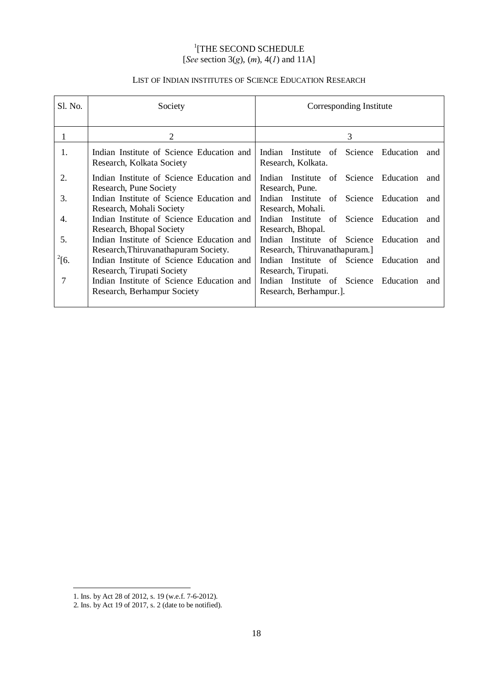# <sup>1</sup>[THE SECOND SCHEDULE [*See* section 3(*g*), (*m*), 4(*1*) and 11A]

# LIST OF INDIAN INSTITUTES OF SCIENCE EDUCATION RESEARCH

| Sl. No.    | Society                                                                           | Corresponding Institute                                                         |
|------------|-----------------------------------------------------------------------------------|---------------------------------------------------------------------------------|
| 1          | 2                                                                                 | 3                                                                               |
| 1.         | Indian Institute of Science Education and<br>Research, Kolkata Society            | Indian Institute of Science Education<br>and<br>Research, Kolkata.              |
| 2.         | Indian Institute of Science Education and<br>Research, Pune Society               | Indian Institute of Science Education<br>and<br>Research, Pune.                 |
| 3.         | Indian Institute of Science Education and<br>Research, Mohali Society             | Indian Institute of Science Education<br>and<br>Research, Mohali.               |
| 4.         | Indian Institute of Science Education and<br>Research, Bhopal Society             | Indian Institute of Science Education<br>and<br>Research, Bhopal.               |
| 5.         | Indian Institute of Science Education and<br>Research, Thiruvanathapuram Society. | Indian Institute of Science<br>Education<br>and<br>Research, Thiruvanathapuram. |
| $^{2}$ [6. | Indian Institute of Science Education and<br>Research, Tirupati Society           | Indian Institute of Science Education<br>and<br>Research, Tirupati.             |
| 7          | Indian Institute of Science Education and<br>Research, Berhampur Society          | Indian Institute of Science Education<br>and<br>Research, Berhampur.].          |

-

<sup>1.</sup> Ins. by Act 28 of 2012, s. 19 (w.e.f. 7-6-2012).

 <sup>2.</sup> Ins. by Act 19 of 2017, s. 2 (date to be notified).